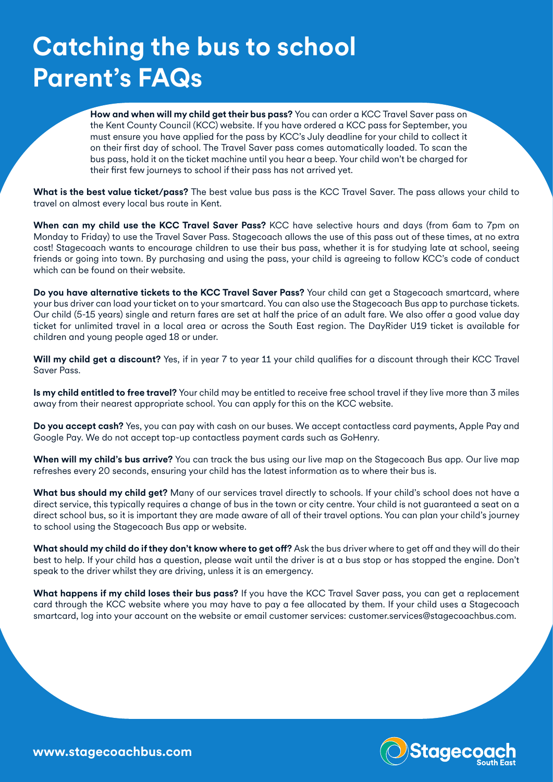## **Catching the bus to school Parent's FAQs**

**How and when will my child get their bus pass?** You can order a KCC Travel Saver pass on the Kent County Council (KCC) website. If you have ordered a KCC pass for September, you must ensure you have applied for the pass by KCC's July deadline for your child to collect it on their first day of school. The Travel Saver pass comes automatically loaded. To scan the bus pass, hold it on the ticket machine until you hear a beep. Your child won't be charged for their first few journeys to school if their pass has not arrived yet.

**What is the best value ticket/pass?** The best value bus pass is the KCC Travel Saver. The pass allows your child to travel on almost every local bus route in Kent.

**When can my child use the KCC Travel Saver Pass?** KCC have selective hours and days (from 6am to 7pm on Monday to Friday) to use the Travel Saver Pass. Stagecoach allows the use of this pass out of these times, at no extra cost! Stagecoach wants to encourage children to use their bus pass, whether it is for studying late at school, seeing friends or going into town. By purchasing and using the pass, your child is agreeing to follow KCC's code of conduct which can be found on their website.

**Do you have alternative tickets to the KCC Travel Saver Pass?** Your child can get a Stagecoach smartcard, where your bus driver can load your ticket on to your smartcard. You can also use the Stagecoach Bus app to purchase tickets. Our child (5-15 years) single and return fares are set at half the price of an adult fare. We also offer a good value day ticket for unlimited travel in a local area or across the South East region. The DayRider U19 ticket is available for children and young people aged 18 or under.

**Will my child get a discount?** Yes, if in year 7 to year 11 your child qualifies for a discount through their KCC Travel Saver Pass.

**Is my child entitled to free travel?** Your child may be entitled to receive free school travel if they live more than 3 miles away from their nearest appropriate school. You can apply for this on the KCC website.

**Do you accept cash?** Yes, you can pay with cash on our buses. We accept contactless card payments, Apple Pay and Google Pay. We do not accept top-up contactless payment cards such as GoHenry.

**When will my child's bus arrive?** You can track the bus using our live map on the Stagecoach Bus app. Our live map refreshes every 20 seconds, ensuring your child has the latest information as to where their bus is.

**What bus should my child get?** Many of our services travel directly to schools. If your child's school does not have a direct service, this typically requires a change of bus in the town or city centre. Your child is not guaranteed a seat on a direct school bus, so it is important they are made aware of all of their travel options. You can plan your child's journey to school using the Stagecoach Bus app or website.

**What should my child do if they don't know where to get off?** Ask the bus driver where to get off and they will do their best to help. If your child has a question, please wait until the driver is at a bus stop or has stopped the engine. Don't speak to the driver whilst they are driving, unless it is an emergency.

**What happens if my child loses their bus pass?** If you have the KCC Travel Saver pass, you can get a replacement card through the KCC website where you may have to pay a fee allocated by them. If your child uses a Stagecoach smartcard, log into your account on the website or email customer services: customer.services@stagecoachbus.com.